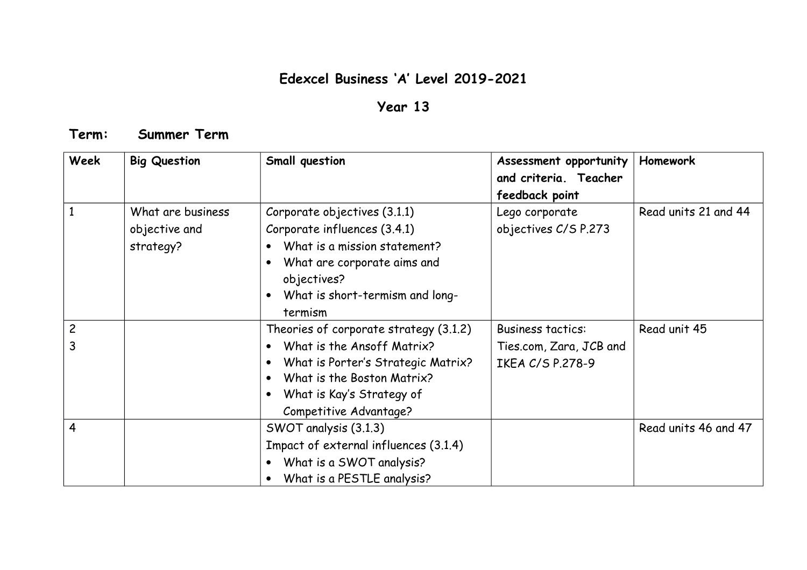## **Edexcel Business 'A' Level 2019-2021**

## **Year 13**

## **Term: Summer Term**

| <b>Week</b>    | <b>Big Question</b>                             | Small question                                                                                                                                                                           | Assessment opportunity<br>and criteria. Teacher<br>feedback point | Homework             |
|----------------|-------------------------------------------------|------------------------------------------------------------------------------------------------------------------------------------------------------------------------------------------|-------------------------------------------------------------------|----------------------|
|                | What are business<br>objective and<br>strategy? | Corporate objectives (3.1.1)<br>Corporate influences (3.4.1)<br>What is a mission statement?<br>What are corporate aims and<br>objectives?<br>What is short-termism and long-<br>termism | Lego corporate<br>objectives C/S P.273                            | Read units 21 and 44 |
| $\overline{c}$ |                                                 | Theories of corporate strategy (3.1.2)                                                                                                                                                   | <b>Business tactics:</b>                                          | Read unit 45         |
| 3              |                                                 | What is the Ansoff Matrix?<br>$\bullet$<br>What is Porter's Strategic Matrix?<br>What is the Boston Matrix?<br>What is Kay's Strategy of<br>Competitive Advantage?                       | Ties.com, Zara, JCB and<br>IKEA C/S P.278-9                       |                      |
| $\overline{4}$ |                                                 | SWOT analysis (3.1.3)<br>Impact of external influences (3.1.4)<br>What is a SWOT analysis?<br>What is a PESTLE analysis?                                                                 |                                                                   | Read units 46 and 47 |